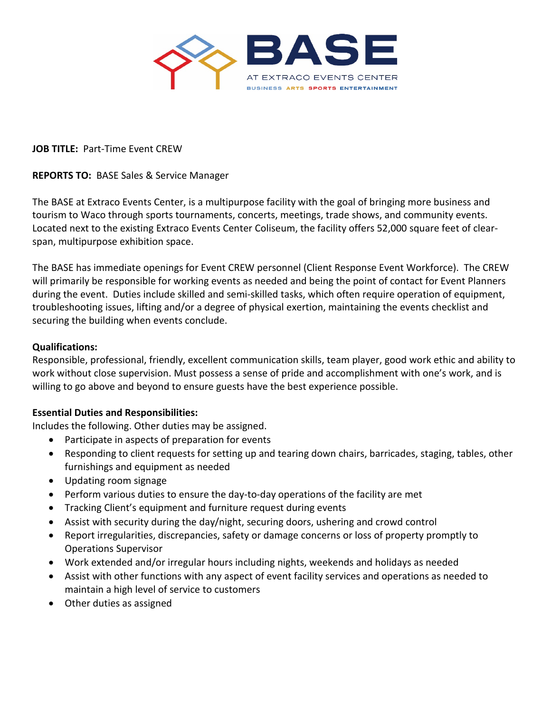

### **JOB TITLE:** Part-Time Event CREW

## **REPORTS TO:** BASE Sales & Service Manager

The BASE at Extraco Events Center, is a multipurpose facility with the goal of bringing more business and tourism to Waco through sports tournaments, concerts, meetings, trade shows, and community events. Located next to the existing Extraco Events Center Coliseum, the facility offers 52,000 square feet of clearspan, multipurpose exhibition space.

The BASE has immediate openings for Event CREW personnel (Client Response Event Workforce). The CREW will primarily be responsible for working events as needed and being the point of contact for Event Planners during the event. Duties include skilled and semi-skilled tasks, which often require operation of equipment, troubleshooting issues, lifting and/or a degree of physical exertion, maintaining the events checklist and securing the building when events conclude.

## **Qualifications:**

Responsible, professional, friendly, excellent communication skills, team player, good work ethic and ability to work without close supervision. Must possess a sense of pride and accomplishment with one's work, and is willing to go above and beyond to ensure guests have the best experience possible.

#### **Essential Duties and Responsibilities:**

Includes the following. Other duties may be assigned.

- Participate in aspects of preparation for events
- Responding to client requests for setting up and tearing down chairs, barricades, staging, tables, other furnishings and equipment as needed
- Updating room signage
- Perform various duties to ensure the day-to-day operations of the facility are met
- Tracking Client's equipment and furniture request during events
- Assist with security during the day/night, securing doors, ushering and crowd control
- Report irregularities, discrepancies, safety or damage concerns or loss of property promptly to Operations Supervisor
- Work extended and/or irregular hours including nights, weekends and holidays as needed
- Assist with other functions with any aspect of event facility services and operations as needed to maintain a high level of service to customers
- Other duties as assigned